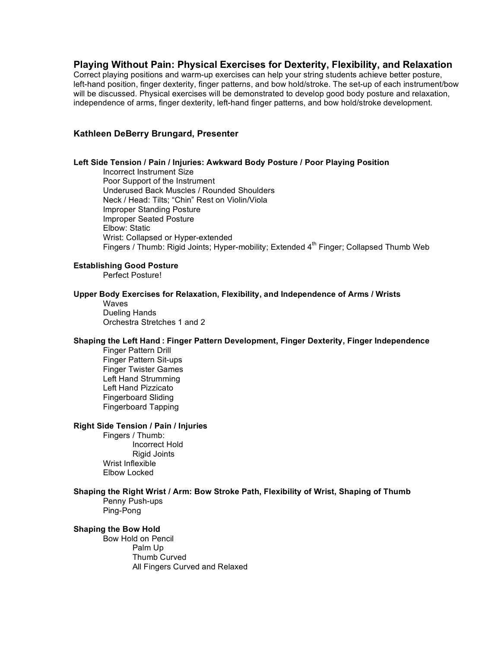# **Playing Without Pain: Physical Exercises for Dexterity, Flexibility, and Relaxation**

Correct playing positions and warm-up exercises can help your string students achieve better posture, left-hand position, finger dexterity, finger patterns, and bow hold/stroke. The set-up of each instrument/bow will be discussed. Physical exercises will be demonstrated to develop good body posture and relaxation, independence of arms, finger dexterity, left-hand finger patterns, and bow hold/stroke development.

### **Kathleen DeBerry Brungard, Presenter**

### **Left Side Tension / Pain / Injuries: Awkward Body Posture / Poor Playing Position**

Incorrect Instrument Size Poor Support of the Instrument Underused Back Muscles / Rounded Shoulders Neck / Head: Tilts; "Chin" Rest on Violin/Viola Improper Standing Posture Improper Seated Posture Elbow: Static Wrist: Collapsed or Hyper-extended Fingers / Thumb: Rigid Joints; Hyper-mobility; Extended 4<sup>th</sup> Finger; Collapsed Thumb Web

## **Establishing Good Posture**

Perfect Posture!

### **Upper Body Exercises for Relaxation, Flexibility, and Independence of Arms / Wrists**

Waves Dueling Hands Orchestra Stretches 1 and 2

#### **Shaping the Left Hand : Finger Pattern Development, Finger Dexterity, Finger Independence**

Finger Pattern Drill Finger Pattern Sit-ups Finger Twister Games Left Hand Strumming Left Hand Pizzicato Fingerboard Sliding Fingerboard Tapping

# **Right Side Tension / Pain / Injuries**

Fingers / Thumb: Incorrect Hold Rigid Joints Wrist Inflexible Elbow Locked

**Shaping the Right Wrist / Arm: Bow Stroke Path, Flexibility of Wrist, Shaping of Thumb** Penny Push-ups

Ping-Pong

### **Shaping the Bow Hold**

Bow Hold on Pencil Palm Up Thumb Curved All Fingers Curved and Relaxed